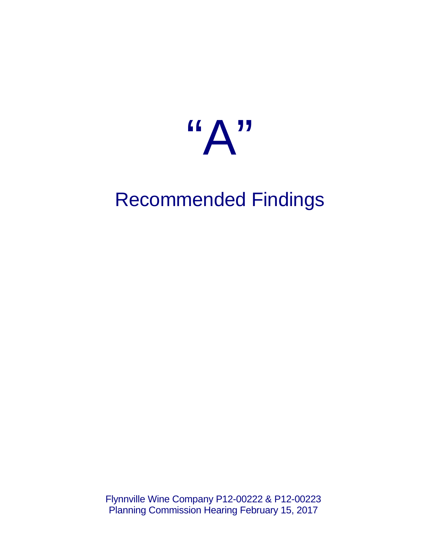

# Recommended Findings

Flynnville Wine Company P12-00222 & P12-00223 Planning Commission Hearing February 15, 2017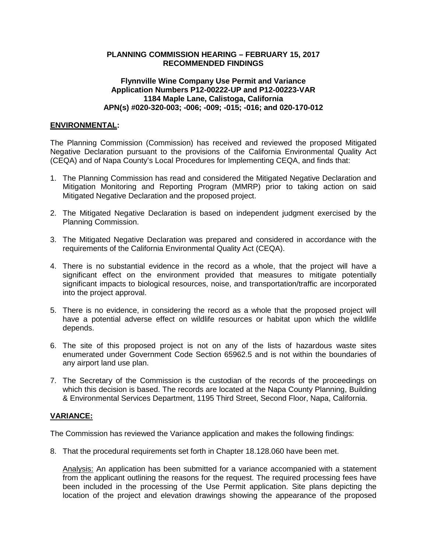## **PLANNING COMMISSION HEARING – FEBRUARY 15, 2017 RECOMMENDED FINDINGS**

## **Flynnville Wine Company Use Permit and Variance Application Numbers P12-00222-UP and P12-00223-VAR 1184 Maple Lane, Calistoga, California APN(s) #020-320-003; -006; -009; -015; -016; and 020-170-012**

## **ENVIRONMENTAL:**

The Planning Commission (Commission) has received and reviewed the proposed Mitigated Negative Declaration pursuant to the provisions of the California Environmental Quality Act (CEQA) and of Napa County's Local Procedures for Implementing CEQA, and finds that:

- 1. The Planning Commission has read and considered the Mitigated Negative Declaration and Mitigation Monitoring and Reporting Program (MMRP) prior to taking action on said Mitigated Negative Declaration and the proposed project.
- 2. The Mitigated Negative Declaration is based on independent judgment exercised by the Planning Commission.
- 3. The Mitigated Negative Declaration was prepared and considered in accordance with the requirements of the California Environmental Quality Act (CEQA).
- 4. There is no substantial evidence in the record as a whole, that the project will have a significant effect on the environment provided that measures to mitigate potentially significant impacts to biological resources, noise, and transportation/traffic are incorporated into the project approval.
- 5. There is no evidence, in considering the record as a whole that the proposed project will have a potential adverse effect on wildlife resources or habitat upon which the wildlife depends.
- 6. The site of this proposed project is not on any of the lists of hazardous waste sites enumerated under Government Code Section 65962.5 and is not within the boundaries of any airport land use plan.
- 7. The Secretary of the Commission is the custodian of the records of the proceedings on which this decision is based. The records are located at the Napa County Planning, Building & Environmental Services Department, 1195 Third Street, Second Floor, Napa, California.

## **VARIANCE:**

The Commission has reviewed the Variance application and makes the following findings:

8. That the procedural requirements set forth in Chapter 18.128.060 have been met.

Analysis: An application has been submitted for a variance accompanied with a statement from the applicant outlining the reasons for the request. The required processing fees have been included in the processing of the Use Permit application. Site plans depicting the location of the project and elevation drawings showing the appearance of the proposed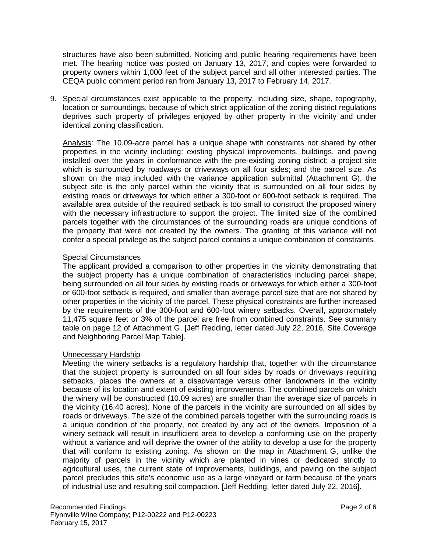structures have also been submitted. Noticing and public hearing requirements have been met. The hearing notice was posted on January 13, 2017, and copies were forwarded to property owners within 1,000 feet of the subject parcel and all other interested parties. The CEQA public comment period ran from January 13, 2017 to February 14, 2017.

9. Special circumstances exist applicable to the property, including size, shape, topography, location or surroundings, because of which strict application of the zoning district regulations deprives such property of privileges enjoyed by other property in the vicinity and under identical zoning classification.

Analysis: The 10.09-acre parcel has a unique shape with constraints not shared by other properties in the vicinity including: existing physical improvements, buildings, and paving installed over the years in conformance with the pre-existing zoning district; a project site which is surrounded by roadways or driveways on all four sides; and the parcel size. As shown on the map included with the variance application submittal (Attachment G), the subject site is the only parcel within the vicinity that is surrounded on all four sides by existing roads or driveways for which either a 300-foot or 600-foot setback is required. The available area outside of the required setback is too small to construct the proposed winery with the necessary infrastructure to support the project. The limited size of the combined parcels together with the circumstances of the surrounding roads are unique conditions of the property that were not created by the owners. The granting of this variance will not confer a special privilege as the subject parcel contains a unique combination of constraints.

## Special Circumstances

The applicant provided a comparison to other properties in the vicinity demonstrating that the subject property has a unique combination of characteristics including parcel shape, being surrounded on all four sides by existing roads or driveways for which either a 300-foot or 600-foot setback is required, and smaller than average parcel size that are not shared by other properties in the vicinity of the parcel. These physical constraints are further increased by the requirements of the 300-foot and 600-foot winery setbacks. Overall, approximately 11,475 square feet or 3% of the parcel are free from combined constraints. See summary table on page 12 of Attachment G. [Jeff Redding, letter dated July 22, 2016, Site Coverage and Neighboring Parcel Map Table].

### Unnecessary Hardship

Meeting the winery setbacks is a regulatory hardship that, together with the circumstance that the subject property is surrounded on all four sides by roads or driveways requiring setbacks, places the owners at a disadvantage versus other landowners in the vicinity because of its location and extent of existing improvements. The combined parcels on which the winery will be constructed (10.09 acres) are smaller than the average size of parcels in the vicinity (16.40 acres). None of the parcels in the vicinity are surrounded on all sides by roads or driveways. The size of the combined parcels together with the surrounding roads is a unique condition of the property, not created by any act of the owners. Imposition of a winery setback will result in insufficient area to develop a conforming use on the property without a variance and will deprive the owner of the ability to develop a use for the property that will conform to existing zoning. As shown on the map in Attachment G, unlike the majority of parcels in the vicinity which are planted in vines or dedicated strictly to agricultural uses, the current state of improvements, buildings, and paving on the subject parcel precludes this site's economic use as a large vineyard or farm because of the years of industrial use and resulting soil compaction. [Jeff Redding, letter dated July 22, 2016].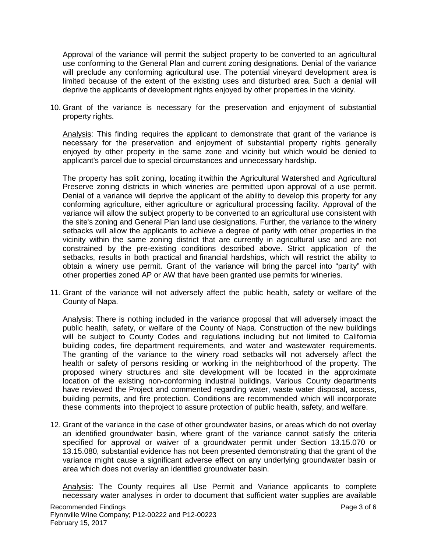Approval of the variance will permit the subject property to be converted to an agricultural use conforming to the General Plan and current zoning designations. Denial of the variance will preclude any conforming agricultural use. The potential vineyard development area is limited because of the extent of the existing uses and disturbed area. Such a denial will deprive the applicants of development rights enjoyed by other properties in the vicinity.

10. Grant of the variance is necessary for the preservation and enjoyment of substantial property rights.

Analysis: This finding requires the applicant to demonstrate that grant of the variance is necessary for the preservation and enjoyment of substantial property rights generally enjoyed by other property in the same zone and vicinity but which would be denied to applicant's parcel due to special circumstances and unnecessary hardship.

The property has split zoning, locating it within the Agricultural Watershed and Agricultural Preserve zoning districts in which wineries are permitted upon approval of a use permit. Denial of a variance will deprive the applicant of the ability to develop this property for any conforming agriculture, either agriculture or agricultural processing facility. Approval of the variance will allow the subject property to be converted to an agricultural use consistent with the site's zoning and General Plan land use designations. Further, the variance to the winery setbacks will allow the applicants to achieve a degree of parity with other properties in the vicinity within the same zoning district that are currently in agricultural use and are not constrained by the pre-existing conditions described above. Strict application of the setbacks, results in both practical and financial hardships, which will restrict the ability to obtain a winery use permit. Grant of the variance will bring the parcel into "parity" with other properties zoned AP or AW that have been granted use permits for wineries.

11. Grant of the variance will not adversely affect the public health, safety or welfare of the County of Napa.

Analysis: There is nothing included in the variance proposal that will adversely impact the public health, safety, or welfare of the County of Napa. Construction of the new buildings will be subject to County Codes and regulations including but not limited to California building codes, fire department requirements, and water and wastewater requirements. The granting of the variance to the winery road setbacks will not adversely affect the health or safety of persons residing or working in the neighborhood of the property. The proposed winery structures and site development will be located in the approximate location of the existing non-conforming industrial buildings. Various County departments have reviewed the Project and commented regarding water, waste water disposal, access, building permits, and fire protection. Conditions are recommended which will incorporate these comments into theproject to assure protection of public health, safety, and welfare.

12. Grant of the variance in the case of other groundwater basins, or areas which do not overlay an identified groundwater basin, where grant of the variance cannot satisfy the criteria specified for approval or waiver of a groundwater permit under Section 13.15.070 or 13.15.080, substantial evidence has not been presented demonstrating that the grant of the variance might cause a significant adverse effect on any underlying groundwater basin or area which does not overlay an identified groundwater basin.

Analysis: The County requires all Use Permit and Variance applicants to complete necessary water analyses in order to document that sufficient water supplies are available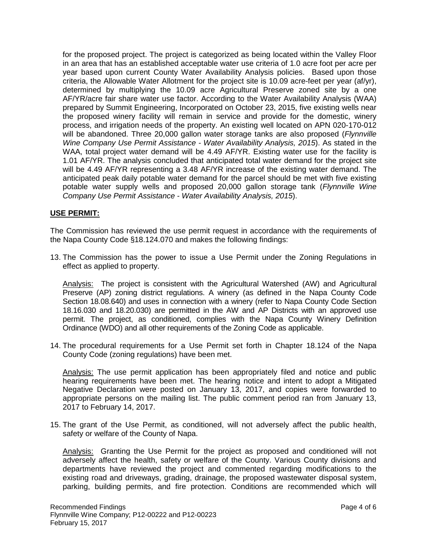for the proposed project. The project is categorized as being located within the Valley Floor in an area that has an established acceptable water use criteria of 1.0 acre foot per acre per year based upon current County Water Availability Analysis policies. Based upon those criteria, the Allowable Water Allotment for the project site is 10.09 acre-feet per year (af/yr), determined by multiplying the 10.09 acre Agricultural Preserve zoned site by a one AF/YR/acre fair share water use factor. According to the Water Availability Analysis (WAA) prepared by Summit Engineering, Incorporated on October 23, 2015, five existing wells near the proposed winery facility will remain in service and provide for the domestic, winery process, and irrigation needs of the property. An existing well located on APN 020-170-012 will be abandoned. Three 20,000 gallon water storage tanks are also proposed (*Flynnville Wine Company Use Permit Assistance - Water Availability Analysis, 2015*). As stated in the WAA, total project water demand will be 4.49 AF/YR. Existing water use for the facility is 1.01 AF/YR. The analysis concluded that anticipated total water demand for the project site will be 4.49 AF/YR representing a 3.48 AF/YR increase of the existing water demand. The anticipated peak daily potable water demand for the parcel should be met with five existing potable water supply wells and proposed 20,000 gallon storage tank (*Flynnville Wine Company Use Permit Assistance - Water Availability Analysis, 2015*).

### **USE PERMIT:**

The Commission has reviewed the use permit request in accordance with the requirements of the Napa County Code §18.124.070 and makes the following findings:

13. The Commission has the power to issue a Use Permit under the Zoning Regulations in effect as applied to property.

Analysis: The project is consistent with the Agricultural Watershed (AW) and Agricultural Preserve (AP) zoning district regulations. A winery (as defined in the Napa County Code Section 18.08.640) and uses in connection with a winery (refer to Napa County Code Section 18.16.030 and 18.20.030) are permitted in the AW and AP Districts with an approved use permit. The project, as conditioned, complies with the Napa County Winery Definition Ordinance (WDO) and all other requirements of the Zoning Code as applicable.

14. The procedural requirements for a Use Permit set forth in Chapter 18.124 of the Napa County Code (zoning regulations) have been met.

Analysis: The use permit application has been appropriately filed and notice and public hearing requirements have been met. The hearing notice and intent to adopt a Mitigated Negative Declaration were posted on January 13, 2017, and copies were forwarded to appropriate persons on the mailing list. The public comment period ran from January 13, 2017 to February 14, 2017.

15. The grant of the Use Permit, as conditioned, will not adversely affect the public health, safety or welfare of the County of Napa.

Analysis:Granting the Use Permit for the project as proposed and conditioned will not adversely affect the health, safety or welfare of the County. Various County divisions and departments have reviewed the project and commented regarding modifications to the existing road and driveways, grading, drainage, the proposed wastewater disposal system, parking, building permits, and fire protection. Conditions are recommended which will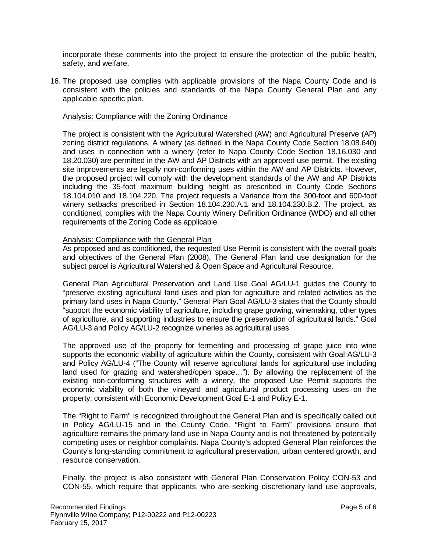incorporate these comments into the project to ensure the protection of the public health, safety, and welfare.

16. The proposed use complies with applicable provisions of the Napa County Code and is consistent with the policies and standards of the Napa County General Plan and any applicable specific plan.

#### Analysis: Compliance with the Zoning Ordinance

The project is consistent with the Agricultural Watershed (AW) and Agricultural Preserve (AP) zoning district regulations. A winery (as defined in the Napa County Code Section 18.08.640) and uses in connection with a winery (refer to Napa County Code Section 18.16.030 and 18.20.030) are permitted in the AW and AP Districts with an approved use permit. The existing site improvements are legally non-conforming uses within the AW and AP Districts. However, the proposed project will comply with the development standards of the AW and AP Districts including the 35-foot maximum building height as prescribed in County Code Sections 18.104.010 and 18.104.220. The project requests a Variance from the 300-foot and 600-foot winery setbacks prescribed in Section 18.104.230.A.1 and 18.104.230.B.2. The project, as conditioned, complies with the Napa County Winery Definition Ordinance (WDO) and all other requirements of the Zoning Code as applicable.

### Analysis: Compliance with the General Plan

As proposed and as conditioned, the requested Use Permit is consistent with the overall goals and objectives of the General Plan (2008). The General Plan land use designation for the subject parcel is Agricultural Watershed & Open Space and Agricultural Resource.

General Plan Agricultural Preservation and Land Use Goal AG/LU-1 guides the County to "preserve existing agricultural land uses and plan for agriculture and related activities as the primary land uses in Napa County." General Plan Goal AG/LU-3 states that the County should "support the economic viability of agriculture, including grape growing, winemaking, other types of agriculture, and supporting industries to ensure the preservation of agricultural lands." Goal AG/LU-3 and Policy AG/LU-2 recognize wineries as agricultural uses.

The approved use of the property for fermenting and processing of grape juice into wine supports the economic viability of agriculture within the County, consistent with Goal AG/LU-3 and Policy AG/LU-4 ("The County will reserve agricultural lands for agricultural use including land used for grazing and watershed/open space…"). By allowing the replacement of the existing non-conforming structures with a winery, the proposed Use Permit supports the economic viability of both the vineyard and agricultural product processing uses on the property, consistent with Economic Development Goal E-1 and Policy E-1.

The "Right to Farm" is recognized throughout the General Plan and is specifically called out in Policy AG/LU-15 and in the County Code. "Right to Farm" provisions ensure that agriculture remains the primary land use in Napa County and is not threatened by potentially competing uses or neighbor complaints. Napa County's adopted General Plan reinforces the County's long-standing commitment to agricultural preservation, urban centered growth, and resource conservation.

Finally, the project is also consistent with General Plan Conservation Policy CON-53 and CON-55, which require that applicants, who are seeking discretionary land use approvals,